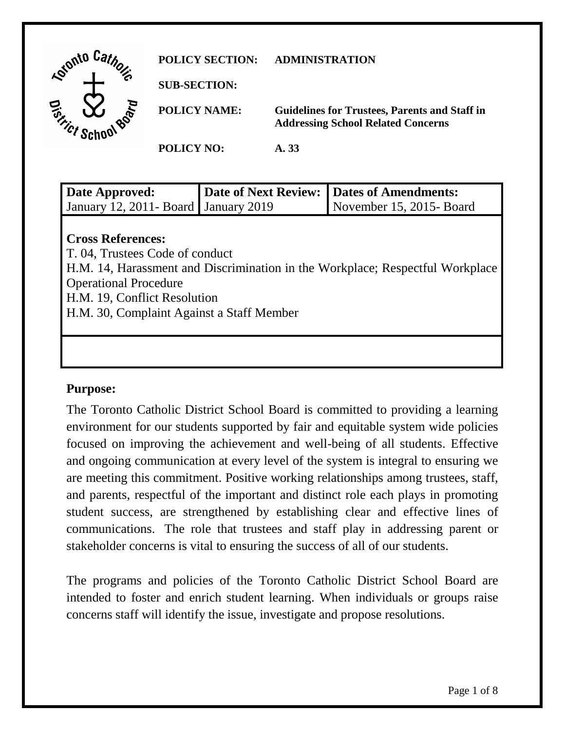| Gionto Car                                    | <b>POLICY SECTION:</b> | <b>ADMINISTRATION</b>                                                                             |
|-----------------------------------------------|------------------------|---------------------------------------------------------------------------------------------------|
|                                               | <b>SUB-SECTION:</b>    |                                                                                                   |
| ۷<br><b>D<sub>100</sub></b><br><b>Gritics</b> | <b>POLICY NAME:</b>    | <b>Guidelines for Trustees, Parents and Staff in</b><br><b>Addressing School Related Concerns</b> |
|                                               | <b>POLICY NO:</b>      | A. 33                                                                                             |

| Date Approved:                            | Date of Next Review: | Dates of Amendments:                                                          |
|-------------------------------------------|----------------------|-------------------------------------------------------------------------------|
| January 12, 2011 - Board January 2019     |                      | November 15, 2015-Board                                                       |
|                                           |                      |                                                                               |
| <b>Cross References:</b>                  |                      |                                                                               |
| T. 04, Trustees Code of conduct           |                      |                                                                               |
|                                           |                      | H.M. 14, Harassment and Discrimination in the Workplace; Respectful Workplace |
| <b>Operational Procedure</b>              |                      |                                                                               |
| H.M. 19, Conflict Resolution              |                      |                                                                               |
| H.M. 30, Complaint Against a Staff Member |                      |                                                                               |

### **Purpose:**

The Toronto Catholic District School Board is committed to providing a learning environment for our students supported by fair and equitable system wide policies focused on improving the achievement and well-being of all students. Effective and ongoing communication at every level of the system is integral to ensuring we are meeting this commitment. Positive working relationships among trustees, staff, and parents, respectful of the important and distinct role each plays in promoting student success, are strengthened by establishing clear and effective lines of communications. The role that trustees and staff play in addressing parent or stakeholder concerns is vital to ensuring the success of all of our students.

The programs and policies of the Toronto Catholic District School Board are intended to foster and enrich student learning. When individuals or groups raise concerns staff will identify the issue, investigate and propose resolutions.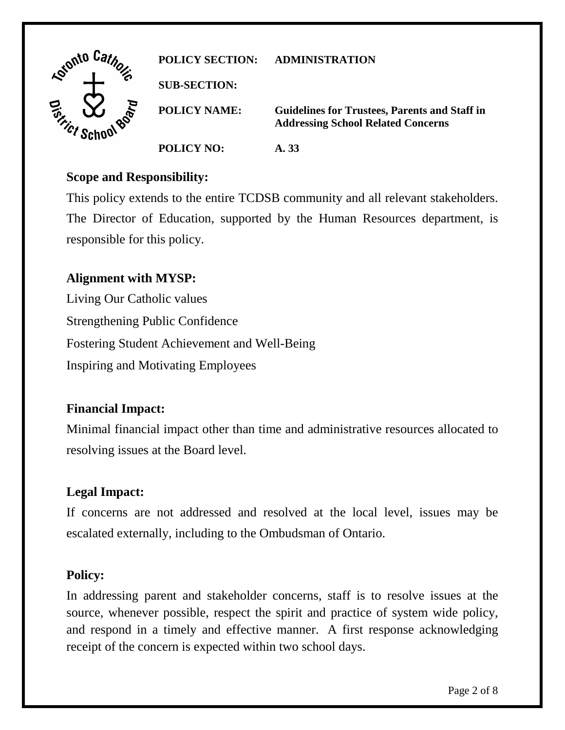| Lonto Ca.                        | <b>POLICY SECTION:</b> | ADMINISTRATION                                                                                    |
|----------------------------------|------------------------|---------------------------------------------------------------------------------------------------|
|                                  | <b>SUB-SECTION:</b>    |                                                                                                   |
| Dist<br>$\gamma_{\mathcal{C}^*}$ | <b>POLICY NAME:</b>    | <b>Guidelines for Trustees, Parents and Staff in</b><br><b>Addressing School Related Concerns</b> |
|                                  | <b>POLICY NO:</b>      | A. 33                                                                                             |

#### **Scope and Responsibility:**

This policy extends to the entire TCDSB community and all relevant stakeholders. The Director of Education, supported by the Human Resources department, is responsible for this policy.

## **Alignment with MYSP:**

Living Our Catholic values Strengthening Public Confidence Fostering Student Achievement and Well-Being Inspiring and Motivating Employees

### **Financial Impact:**

Minimal financial impact other than time and administrative resources allocated to resolving issues at the Board level.

### **Legal Impact:**

If concerns are not addressed and resolved at the local level, issues may be escalated externally, including to the Ombudsman of Ontario.

### **Policy:**

In addressing parent and stakeholder concerns, staff is to resolve issues at the source, whenever possible, respect the spirit and practice of system wide policy, and respond in a timely and effective manner. A first response acknowledging receipt of the concern is expected within two school days.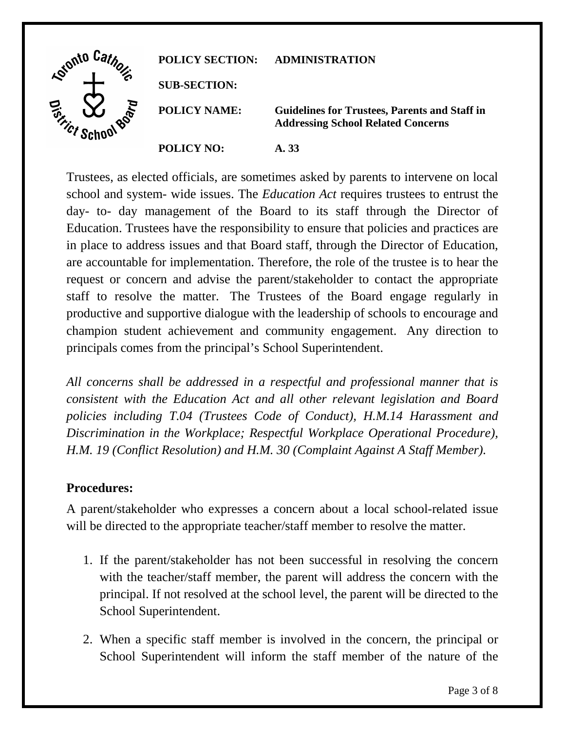| Gronto Car                     | <b>POLICY SECTION:</b> | <b>ADMINISTRATION</b>                                                                             |
|--------------------------------|------------------------|---------------------------------------------------------------------------------------------------|
|                                | <b>SUB-SECTION:</b>    |                                                                                                   |
| Dist<br>$\eta_{\mathcal{C}^f}$ | <b>POLICY NAME:</b>    | <b>Guidelines for Trustees, Parents and Staff in</b><br><b>Addressing School Related Concerns</b> |
|                                | <b>POLICY NO:</b>      | A. 33                                                                                             |

Trustees, as elected officials, are sometimes asked by parents to intervene on local school and system- wide issues. The *Education Act* requires trustees to entrust the day- to- day management of the Board to its staff through the Director of Education. Trustees have the responsibility to ensure that policies and practices are in place to address issues and that Board staff, through the Director of Education, are accountable for implementation. Therefore, the role of the trustee is to hear the request or concern and advise the parent/stakeholder to contact the appropriate staff to resolve the matter. The Trustees of the Board engage regularly in productive and supportive dialogue with the leadership of schools to encourage and champion student achievement and community engagement. Any direction to principals comes from the principal's School Superintendent.

*All concerns shall be addressed in a respectful and professional manner that is consistent with the Education Act and all other relevant legislation and Board policies including T.04 (Trustees Code of Conduct), H.M.14 Harassment and Discrimination in the Workplace; Respectful Workplace Operational Procedure), H.M. 19 (Conflict Resolution) and H.M. 30 (Complaint Against A Staff Member).*

### **Procedures:**

A parent/stakeholder who expresses a concern about a local school-related issue will be directed to the appropriate teacher/staff member to resolve the matter.

- 1. If the parent/stakeholder has not been successful in resolving the concern with the teacher/staff member, the parent will address the concern with the principal. If not resolved at the school level, the parent will be directed to the School Superintendent.
- 2. When a specific staff member is involved in the concern, the principal or School Superintendent will inform the staff member of the nature of the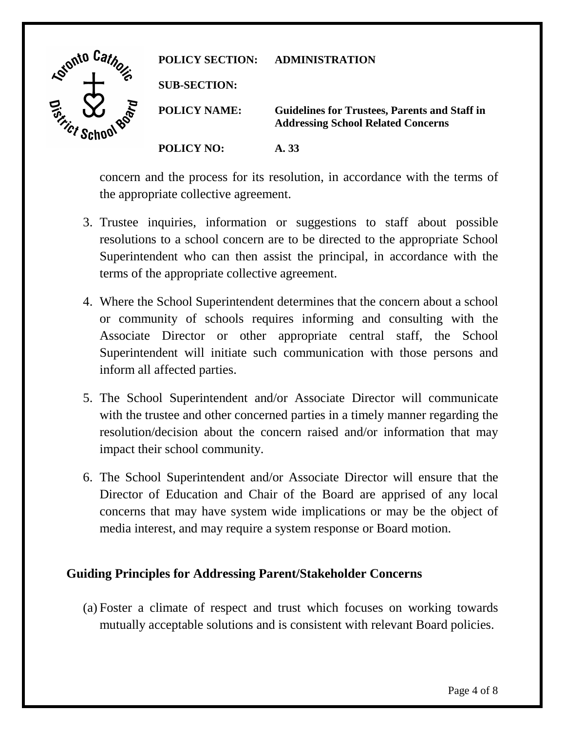| Lotonto Ca.             | <b>POLICY SECTION:</b> | <b>ADMINISTRATION</b>                                                                             |
|-------------------------|------------------------|---------------------------------------------------------------------------------------------------|
|                         | <b>SUB-SECTION:</b>    |                                                                                                   |
| D. Frict<br><b>POOT</b> | <b>POLICY NAME:</b>    | <b>Guidelines for Trustees, Parents and Staff in</b><br><b>Addressing School Related Concerns</b> |
|                         | <b>POLICY NO:</b>      | A. 33                                                                                             |

concern and the process for its resolution, in accordance with the terms of the appropriate collective agreement.

- 3. Trustee inquiries, information or suggestions to staff about possible resolutions to a school concern are to be directed to the appropriate School Superintendent who can then assist the principal, in accordance with the terms of the appropriate collective agreement.
- 4. Where the School Superintendent determines that the concern about a school or community of schools requires informing and consulting with the Associate Director or other appropriate central staff, the School Superintendent will initiate such communication with those persons and inform all affected parties.
- 5. The School Superintendent and/or Associate Director will communicate with the trustee and other concerned parties in a timely manner regarding the resolution/decision about the concern raised and/or information that may impact their school community.
- 6. The School Superintendent and/or Associate Director will ensure that the Director of Education and Chair of the Board are apprised of any local concerns that may have system wide implications or may be the object of media interest, and may require a system response or Board motion.

# **Guiding Principles for Addressing Parent/Stakeholder Concerns**

(a) Foster a climate of respect and trust which focuses on working towards mutually acceptable solutions and is consistent with relevant Board policies.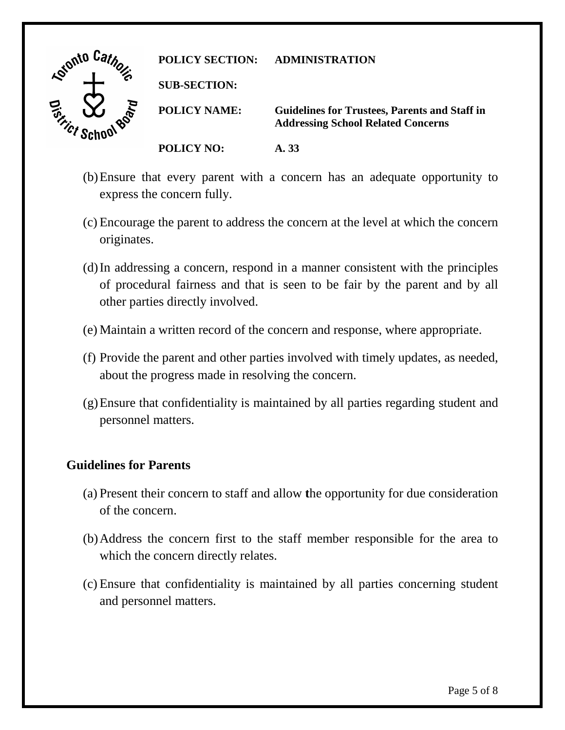

- (b)Ensure that every parent with a concern has an adequate opportunity to express the concern fully.
- (c) Encourage the parent to address the concern at the level at which the concern originates.
- (d)In addressing a concern, respond in a manner consistent with the principles of procedural fairness and that is seen to be fair by the parent and by all other parties directly involved.
- (e) Maintain a written record of the concern and response, where appropriate.
- (f) Provide the parent and other parties involved with timely updates, as needed, about the progress made in resolving the concern.
- (g)Ensure that confidentiality is maintained by all parties regarding student and personnel matters.

### **Guidelines for Parents**

- (a) Present their concern to staff and allow **t**he opportunity for due consideration of the concern.
- (b)Address the concern first to the staff member responsible for the area to which the concern directly relates.
- (c) Ensure that confidentiality is maintained by all parties concerning student and personnel matters.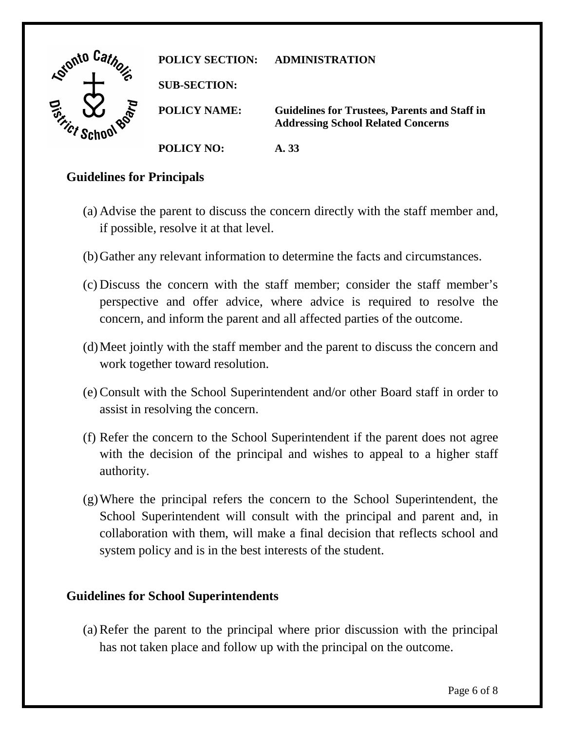| <b>Katonto</b>                 | <b>POLICY SECTION:</b> | <b>ADMINISTRATION</b>                                                                             |
|--------------------------------|------------------------|---------------------------------------------------------------------------------------------------|
|                                | <b>SUB-SECTION:</b>    |                                                                                                   |
| Q,<br>$\gamma_{\mathcal{C}^f}$ | <b>POLICY NAME:</b>    | <b>Guidelines for Trustees, Parents and Staff in</b><br><b>Addressing School Related Concerns</b> |
|                                | <b>POLICY NO:</b>      | A. 33                                                                                             |

### **Guidelines for Principals**

- (a) Advise the parent to discuss the concern directly with the staff member and, if possible, resolve it at that level.
- (b)Gather any relevant information to determine the facts and circumstances.
- (c) Discuss the concern with the staff member; consider the staff member's perspective and offer advice, where advice is required to resolve the concern, and inform the parent and all affected parties of the outcome.
- (d)Meet jointly with the staff member and the parent to discuss the concern and work together toward resolution.
- (e) Consult with the School Superintendent and/or other Board staff in order to assist in resolving the concern.
- (f) Refer the concern to the School Superintendent if the parent does not agree with the decision of the principal and wishes to appeal to a higher staff authority.
- (g)Where the principal refers the concern to the School Superintendent, the School Superintendent will consult with the principal and parent and, in collaboration with them, will make a final decision that reflects school and system policy and is in the best interests of the student.

### **Guidelines for School Superintendents**

(a) Refer the parent to the principal where prior discussion with the principal has not taken place and follow up with the principal on the outcome.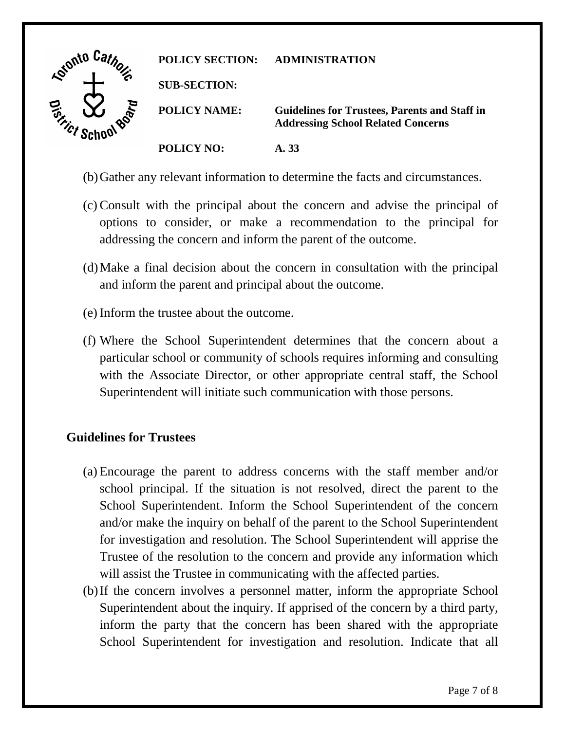

- (b)Gather any relevant information to determine the facts and circumstances.
- (c) Consult with the principal about the concern and advise the principal of options to consider, or make a recommendation to the principal for addressing the concern and inform the parent of the outcome.
- (d)Make a final decision about the concern in consultation with the principal and inform the parent and principal about the outcome.
- (e) Inform the trustee about the outcome.
- (f) Where the School Superintendent determines that the concern about a particular school or community of schools requires informing and consulting with the Associate Director, or other appropriate central staff, the School Superintendent will initiate such communication with those persons.

# **Guidelines for Trustees**

- (a) Encourage the parent to address concerns with the staff member and/or school principal. If the situation is not resolved, direct the parent to the School Superintendent. Inform the School Superintendent of the concern and/or make the inquiry on behalf of the parent to the School Superintendent for investigation and resolution. The School Superintendent will apprise the Trustee of the resolution to the concern and provide any information which will assist the Trustee in communicating with the affected parties.
- (b)If the concern involves a personnel matter, inform the appropriate School Superintendent about the inquiry. If apprised of the concern by a third party, inform the party that the concern has been shared with the appropriate School Superintendent for investigation and resolution. Indicate that all